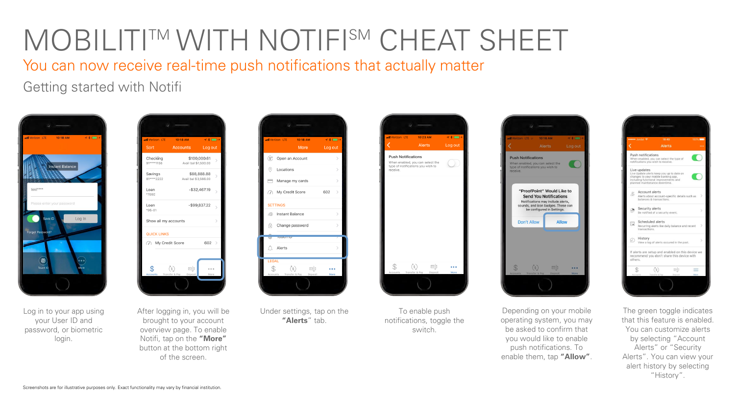You can now receive real-time push notifications that actually matter

Getting started with Notifi







After logging in, you will be brought to your account overview page. To enable Notifi, tap on the **"More"** button at the bottom right of the screen.



Under settings, tap on the **"Alerts**" tab.



To enable push notifications, toggle the switch.



Depending on your mobile operating system, you may be asked to confirm that you would like to enable push notifications. To enable them, tap **"Allow"**.



The green toggle indicates that this feature is enabled. You can customize alerts by selecting "Account Alerts" or "Security Alerts". You can view your alert history by selecting "History".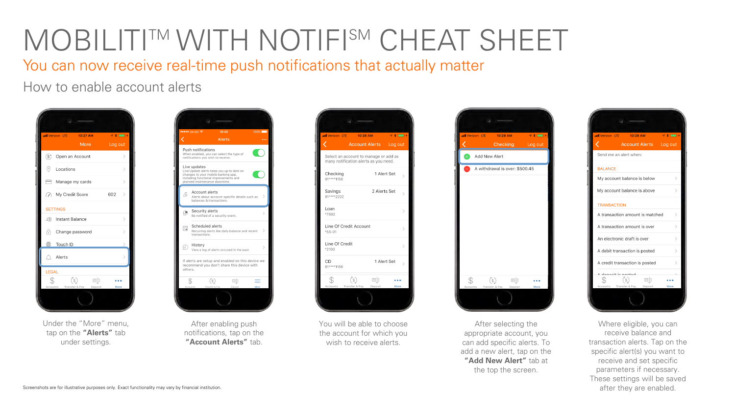You can now receive real-time push notifications that actually matter

How to enable account alerts



Under the "More" menu, tap on the **"Alerts"** tab under settings.



After enabling push notifications, tap on the **"Account Alerts"** tab.



You will be able to choose the account for which you wish to receive alerts.



After selecting the appropriate account, you can add specific alerts. To add a new alert, tap on the **"Add New Alert"** tab at the top the screen.



Where eligible, you can receive balance and transaction alerts. Tap on the specific alert(s) you want to receive and set specific parameters if necessary. These settings will be saved after they are enabled.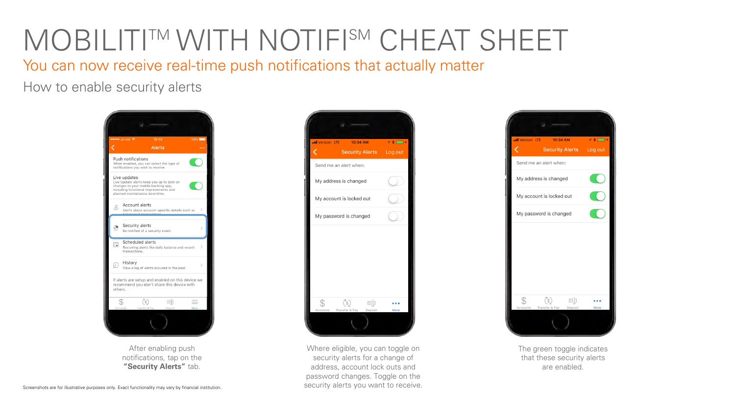You can now receive real-time push notifications that actually matter

How to enable security alerts



After enabling push notifications, tap on the **"Security Alerts"** tab.



Where eligible, you can toggle on security alerts for a change of address, account lock outs and password changes. Toggle on the security alerts you want to receive.



The green toggle indicates that these security alerts are enabled.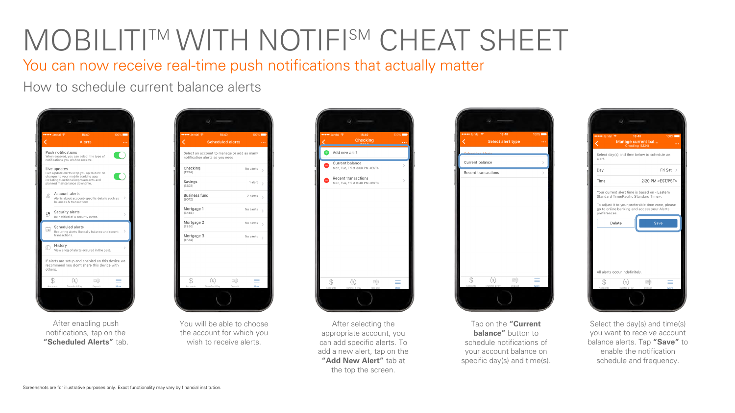You can now receive real-time push notifications that actually matter

How to schedule current balance alerts



After enabling push notifications, tap on the **"Scheduled Alerts"** tab.



You will be able to choose the account for which you wish to receive alerts.



After selecting the appropriate account, you can add specific alerts. To add a new alert, tap on the **"Add New Alert"** tab at the top the screen.



Tap on the **"Current balance"** button to schedule notifications of your account balance on specific day(s) and time(s).



Select the day(s) and time(s) you want to receive account balance alerts. Tap **"Save"** to enable the notification schedule and frequency.